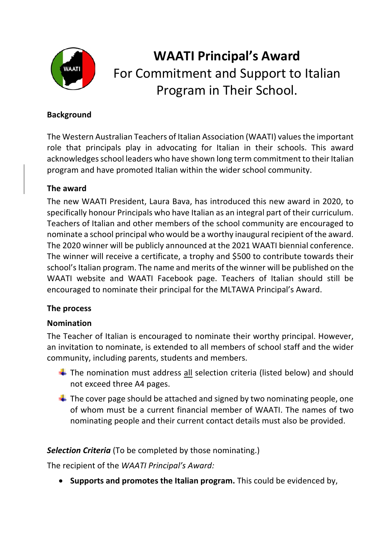

# **WAATI Principal's Award** For Commitment and Support to Italian Program in Their School.

#### **Background**

The Western Australian Teachers of Italian Association (WAATI) values the important role that principals play in advocating for Italian in their schools. This award acknowledges school leaders who have shown long term commitment to their Italian program and have promoted Italian within the wider school community.

#### **The award**

The new WAATI President, Laura Bava, has introduced this new award in 2020, to specifically honour Principals who have Italian as an integral part of their curriculum. Teachers of Italian and other members of the school community are encouraged to nominate a school principal who would be a worthy inaugural recipient of the award. The 2020 winner will be publicly announced at the 2021 WAATI biennial conference. The winner will receive a certificate, a trophy and \$500 to contribute towards their school's Italian program. The name and merits of the winner will be published on the WAATI website and WAATI Facebook page. Teachers of Italian should still be encouraged to nominate their principal for the MLTAWA Principal's Award.

## **The process**

## **Nomination**

The Teacher of Italian is encouraged to nominate their worthy principal. However, an invitation to nominate, is extended to all members of school staff and the wider community, including parents, students and members.

- $\downarrow$  The nomination must address all selection criteria (listed below) and should not exceed three A4 pages.
- $\downarrow$  The cover page should be attached and signed by two nominating people, one of whom must be a current financial member of WAATI. The names of two nominating people and their current contact details must also be provided.

## *Selection Criteria* (To be completed by those nominating.)

The recipient of the *WAATI Principal's Award:* 

• **Supports and promotes the Italian program.** This could be evidenced by,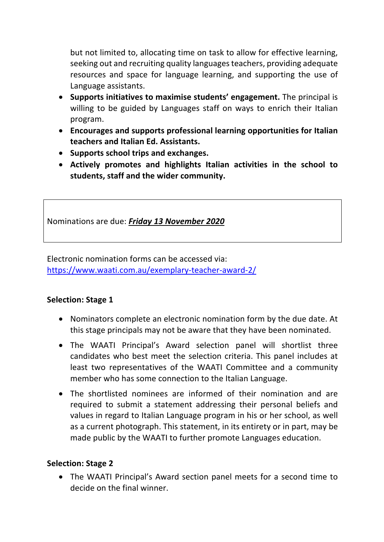but not limited to, allocating time on task to allow for effective learning, seeking out and recruiting quality languages teachers, providing adequate resources and space for language learning, and supporting the use of Language assistants.

- **Supports initiatives to maximise students' engagement.** The principal is willing to be guided by Languages staff on ways to enrich their Italian program.
- **Encourages and supports professional learning opportunities for Italian teachers and Italian Ed. Assistants.**
- **Supports school trips and exchanges.**
- **Actively promotes and highlights Italian activities in the school to students, staff and the wider community.**

Nominations are due: *Friday 13 November 2020*

Electronic nomination forms can be accessed via: https://www.waati.com.au/exemplary-teacher-award-2/

#### **Selection: Stage 1**

- Nominators complete an electronic nomination form by the due date. At this stage principals may not be aware that they have been nominated.
- The WAATI Principal's Award selection panel will shortlist three candidates who best meet the selection criteria. This panel includes at least two representatives of the WAATI Committee and a community member who has some connection to the Italian Language.
- The shortlisted nominees are informed of their nomination and are required to submit a statement addressing their personal beliefs and values in regard to Italian Language program in his or her school, as well as a current photograph. This statement, in its entirety or in part, may be made public by the WAATI to further promote Languages education.

#### **Selection: Stage 2**

• The WAATI Principal's Award section panel meets for a second time to decide on the final winner.